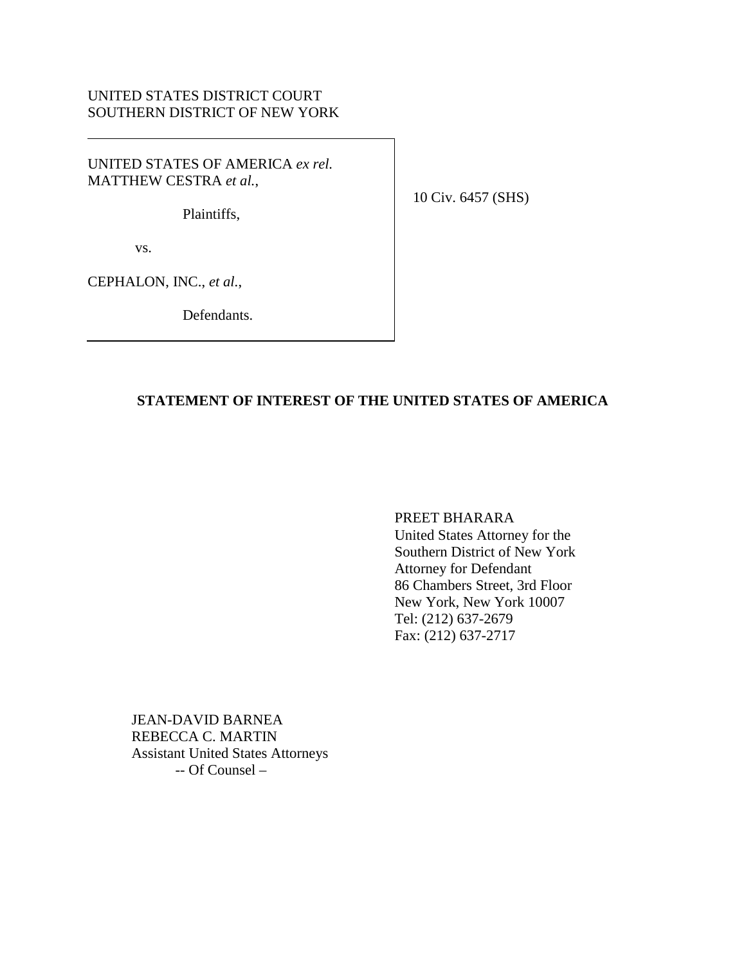# UNITED STATES DISTRICT COURT SOUTHERN DISTRICT OF NEW YORK

UNITED STATES OF AMERICA *ex rel.* MATTHEW CESTRA *et al.*,

Plaintiffs,

10 Civ. 6457 (SHS)

vs.

CEPHALON, INC., *et al.*,

Defendants.

## **STATEMENT OF INTEREST OF THE UNITED STATES OF AMERICA**

PREET BHARARA

United States Attorney for the Southern District of New York Attorney for Defendant 86 Chambers Street, 3rd Floor New York, New York 10007 Tel: (212) 637-2679 Fax: (212) 637-2717

JEAN-DAVID BARNEA REBECCA C. MARTIN Assistant United States Attorneys -- Of Counsel –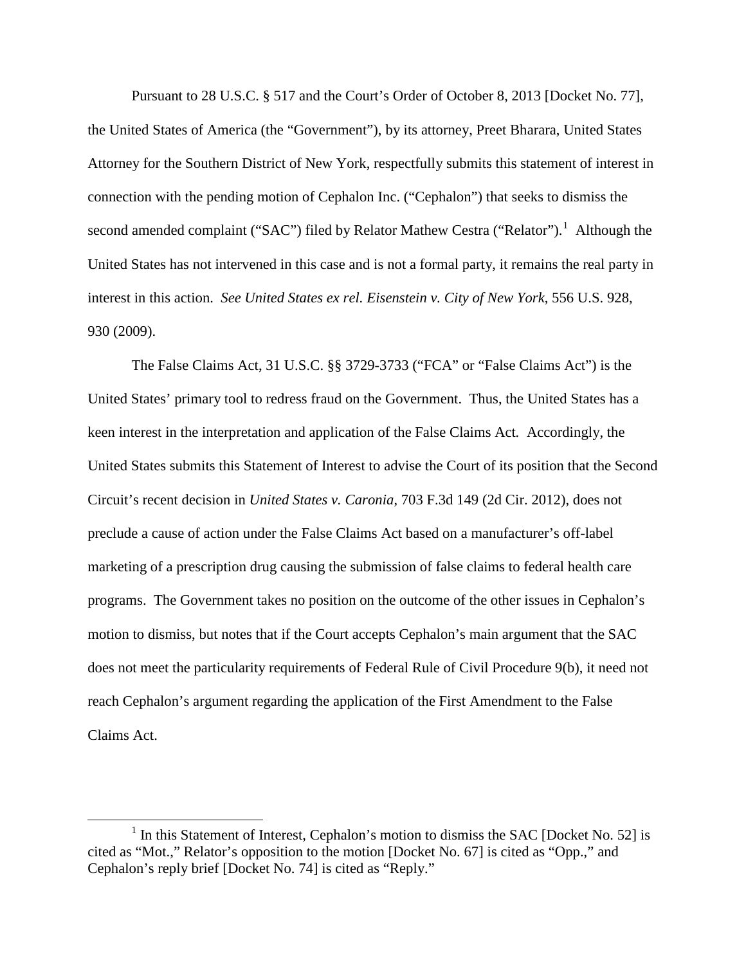Pursuant to 28 U.S.C. § 517 and the Court's Order of October 8, 2013 [Docket No. 77], the United States of America (the "Government"), by its attorney, Preet Bharara, United States Attorney for the Southern District of New York, respectfully submits this statement of interest in connection with the pending motion of Cephalon Inc. ("Cephalon") that seeks to dismiss the second amended complaint ("SAC") filed by Relator Mathew Cestra ("Relator").<sup>[1](#page-1-0)</sup> Although the United States has not intervened in this case and is not a formal party, it remains the real party in interest in this action. *See United States ex rel. Eisenstein v. City of New York*, 556 U.S. 928, 930 (2009).

The False Claims Act, 31 U.S.C. §§ 3729-3733 ("FCA" or "False Claims Act") is the United States' primary tool to redress fraud on the Government. Thus, the United States has a keen interest in the interpretation and application of the False Claims Act*.* Accordingly, the United States submits this Statement of Interest to advise the Court of its position that the Second Circuit's recent decision in *United States v. Caronia*, 703 F.3d 149 (2d Cir. 2012), does not preclude a cause of action under the False Claims Act based on a manufacturer's off-label marketing of a prescription drug causing the submission of false claims to federal health care programs. The Government takes no position on the outcome of the other issues in Cephalon's motion to dismiss, but notes that if the Court accepts Cephalon's main argument that the SAC does not meet the particularity requirements of Federal Rule of Civil Procedure 9(b), it need not reach Cephalon's argument regarding the application of the First Amendment to the False Claims Act.

<span id="page-1-0"></span> $<sup>1</sup>$  In this Statement of Interest, Cephalon's motion to dismiss the SAC [Docket No. 52] is</sup> cited as "Mot.," Relator's opposition to the motion [Docket No. 67] is cited as "Opp.," and Cephalon's reply brief [Docket No. 74] is cited as "Reply."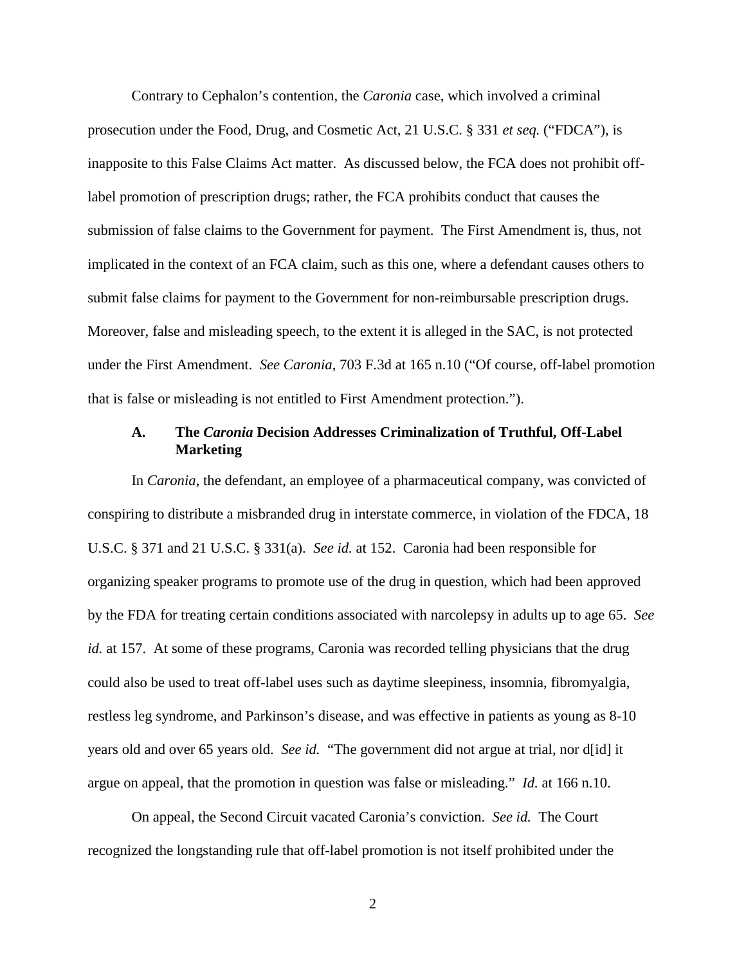Contrary to Cephalon's contention, the *Caronia* case, which involved a criminal prosecution under the Food, Drug, and Cosmetic Act, 21 U.S.C. § 331 *et seq.* ("FDCA"), is inapposite to this False Claims Act matter. As discussed below, the FCA does not prohibit offlabel promotion of prescription drugs; rather, the FCA prohibits conduct that causes the submission of false claims to the Government for payment. The First Amendment is, thus, not implicated in the context of an FCA claim, such as this one, where a defendant causes others to submit false claims for payment to the Government for non-reimbursable prescription drugs. Moreover, false and misleading speech, to the extent it is alleged in the SAC, is not protected under the First Amendment. *See Caronia*, 703 F.3d at 165 n.10 ("Of course, off-label promotion that is false or misleading is not entitled to First Amendment protection.").

#### **A. The** *Caronia* **Decision Addresses Criminalization of Truthful, Off-Label Marketing**

In *Caronia*, the defendant, an employee of a pharmaceutical company, was convicted of conspiring to distribute a misbranded drug in interstate commerce, in violation of the FDCA, 18 U.S.C. § 371 and 21 U.S.C. § 331(a). *See id.* at 152. Caronia had been responsible for organizing speaker programs to promote use of the drug in question, which had been approved by the FDA for treating certain conditions associated with narcolepsy in adults up to age 65. *See id.* at 157. At some of these programs, Caronia was recorded telling physicians that the drug could also be used to treat off-label uses such as daytime sleepiness, insomnia, fibromyalgia, restless leg syndrome, and Parkinson's disease, and was effective in patients as young as 8-10 years old and over 65 years old. *See id.* "The government did not argue at trial, nor d[id] it argue on appeal, that the promotion in question was false or misleading." *Id.* at 166 n.10.

On appeal, the Second Circuit vacated Caronia's conviction. *See id.* The Court recognized the longstanding rule that off-label promotion is not itself prohibited under the

2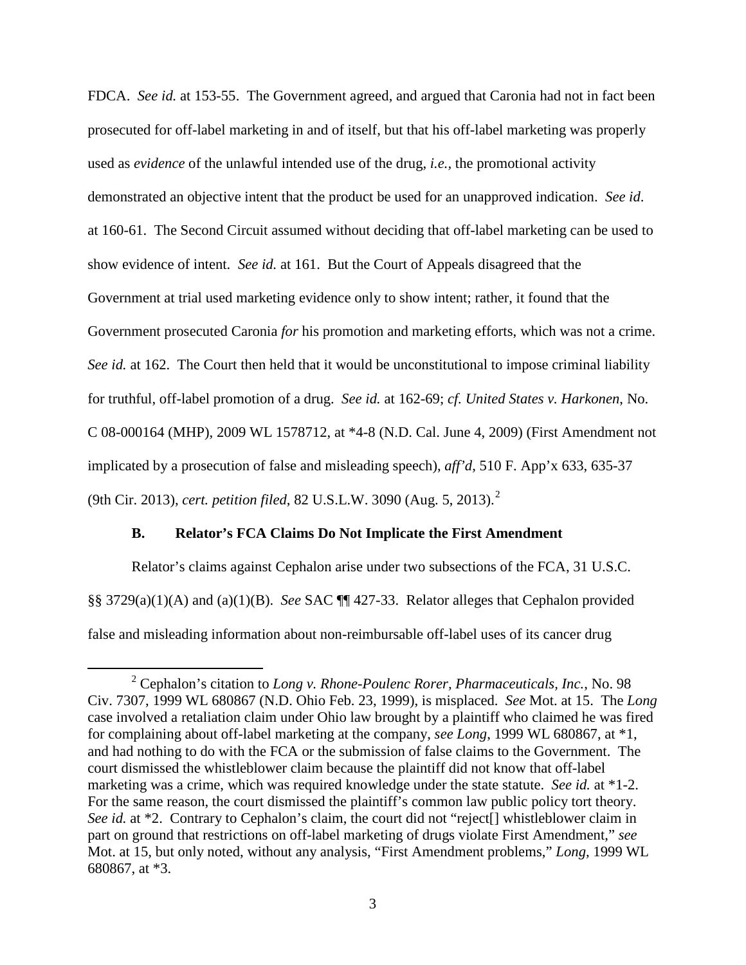FDCA. *See id.* at 153-55. The Government agreed, and argued that Caronia had not in fact been prosecuted for off-label marketing in and of itself, but that his off-label marketing was properly used as *evidence* of the unlawful intended use of the drug, *i.e.,* the promotional activity demonstrated an objective intent that the product be used for an unapproved indication. *See id*. at 160-61. The Second Circuit assumed without deciding that off-label marketing can be used to show evidence of intent. *See id.* at 161. But the Court of Appeals disagreed that the Government at trial used marketing evidence only to show intent; rather, it found that the Government prosecuted Caronia *for* his promotion and marketing efforts, which was not a crime. *See id.* at 162. The Court then held that it would be unconstitutional to impose criminal liability for truthful, off-label promotion of a drug. *See id.* at 162-69; *cf. United States v. Harkonen*, No. C 08-000164 (MHP), 2009 WL 1578712, at \*4-8 (N.D. Cal. June 4, 2009) (First Amendment not implicated by a prosecution of false and misleading speech), *aff'd*, 510 F. App'x 633, 635-37 (9th Cir. 2013), *cert. petition filed*, 82 U.S.L.W. 3090 (Aug. 5, 2013). [2](#page-3-0)

### **B. Relator's FCA Claims Do Not Implicate the First Amendment**

Relator's claims against Cephalon arise under two subsections of the FCA, 31 U.S.C. §§ 3729(a)(1)(A) and (a)(1)(B). *See* SAC ¶¶ 427-33. Relator alleges that Cephalon provided false and misleading information about non-reimbursable off-label uses of its cancer drug

<span id="page-3-0"></span> <sup>2</sup> Cephalon's citation to *Long v. Rhone-Poulenc Rorer, Pharmaceuticals, Inc.*, No. 98 Civ. 7307, 1999 WL 680867 (N.D. Ohio Feb. 23, 1999), is misplaced. *See* Mot. at 15. The *Long* case involved a retaliation claim under Ohio law brought by a plaintiff who claimed he was fired for complaining about off-label marketing at the company, *see Long*, 1999 WL 680867, at \*1, and had nothing to do with the FCA or the submission of false claims to the Government. The court dismissed the whistleblower claim because the plaintiff did not know that off-label marketing was a crime, which was required knowledge under the state statute. *See id.* at \*1-2. For the same reason, the court dismissed the plaintiff's common law public policy tort theory. *See id.* at \*2. Contrary to Cephalon's claim, the court did not "reject<sup>[]</sup> whistleblower claim in part on ground that restrictions on off-label marketing of drugs violate First Amendment," *see* Mot. at 15, but only noted, without any analysis, "First Amendment problems," *Long*, 1999 WL 680867, at \*3.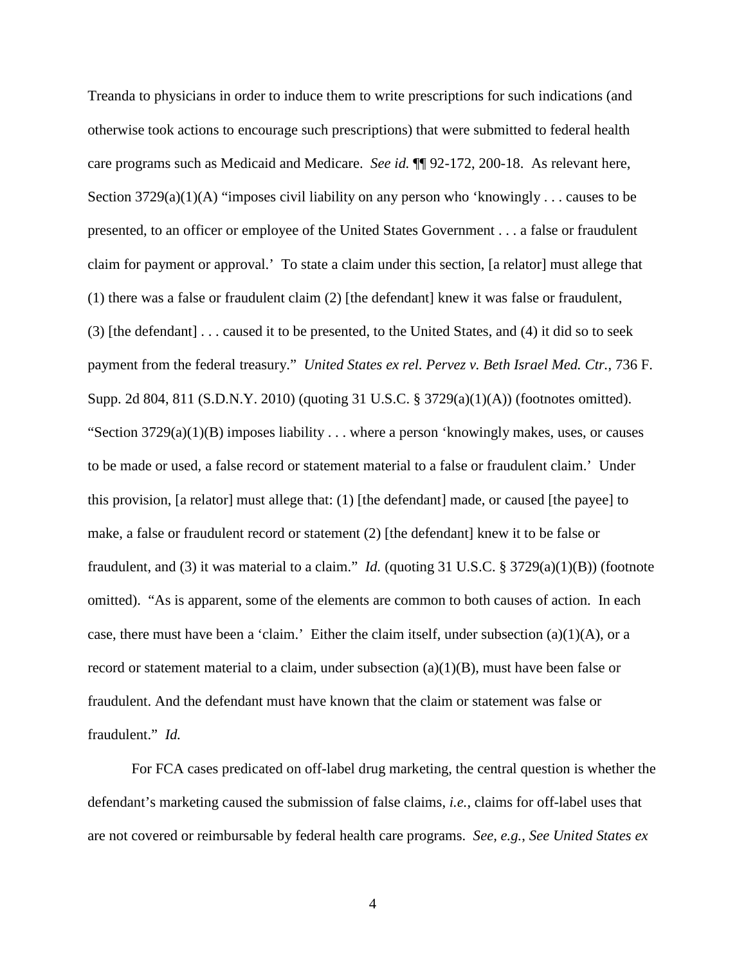Treanda to physicians in order to induce them to write prescriptions for such indications (and otherwise took actions to encourage such prescriptions) that were submitted to federal health care programs such as Medicaid and Medicare. *See id.* ¶¶ 92-172, 200-18. As relevant here, Section  $3729(a)(1)(A)$  "imposes civil liability on any person who 'knowingly ... causes to be presented, to an officer or employee of the United States Government . . . a false or fraudulent claim for payment or approval.' To state a claim under this section, [a relator] must allege that (1) there was a false or fraudulent claim (2) [the defendant] knew it was false or fraudulent, (3) [the defendant] . . . caused it to be presented, to the United States, and (4) it did so to seek payment from the federal treasury." *United States ex rel. Pervez v. Beth Israel Med. Ctr.*, 736 F. Supp. 2d 804, 811 (S.D.N.Y. 2010) (quoting 31 U.S.C. § 3729(a)(1)(A)) (footnotes omitted). "Section  $3729(a)(1)(B)$  imposes liability . . . where a person 'knowingly makes, uses, or causes to be made or used, a false record or statement material to a false or fraudulent claim.' Under this provision, [a relator] must allege that: (1) [the defendant] made, or caused [the payee] to make, a false or fraudulent record or statement (2) [the defendant] knew it to be false or fraudulent, and (3) it was material to a claim." *Id.* (quoting 31 U.S.C. § 3729(a)(1)(B)) (footnote omitted). "As is apparent, some of the elements are common to both causes of action. In each case, there must have been a 'claim.' Either the claim itself, under subsection (a)(1)(A), or a record or statement material to a claim, under subsection  $(a)(1)(B)$ , must have been false or fraudulent. And the defendant must have known that the claim or statement was false or fraudulent." *Id.*

For FCA cases predicated on off-label drug marketing, the central question is whether the defendant's marketing caused the submission of false claims, *i.e.*, claims for off-label uses that are not covered or reimbursable by federal health care programs. *See, e.g.*, *See United States ex* 

4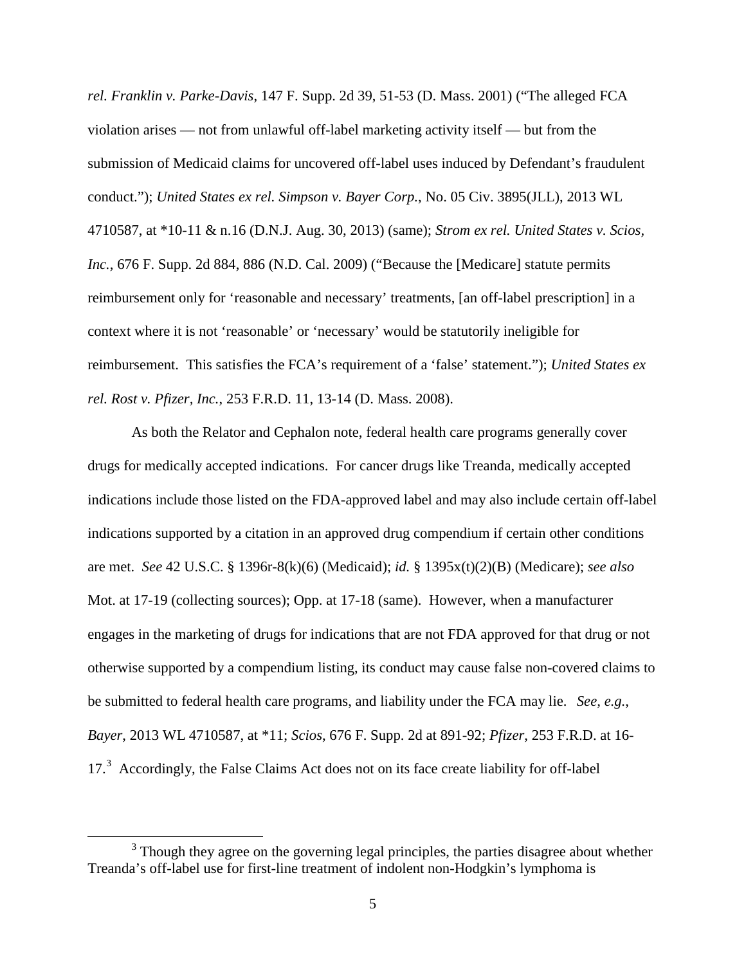*rel. Franklin v. Parke-Davis*, 147 F. Supp. 2d 39, 51-53 (D. Mass. 2001) ("The alleged FCA violation arises — not from unlawful off-label marketing activity itself — but from the submission of Medicaid claims for uncovered off-label uses induced by Defendant's fraudulent conduct."); *United States ex rel. Simpson v. Bayer Corp.*, No. 05 Civ. 3895(JLL), 2013 WL 4710587, at \*10-11 & n.16 (D.N.J. Aug. 30, 2013) (same); *Strom ex rel. United States v. Scios, Inc.*, 676 F. Supp. 2d 884, 886 (N.D. Cal. 2009) ("Because the [Medicare] statute permits reimbursement only for 'reasonable and necessary' treatments, [an off-label prescription] in a context where it is not 'reasonable' or 'necessary' would be statutorily ineligible for reimbursement. This satisfies the FCA's requirement of a 'false' statement."); *United States ex rel. Rost v. Pfizer, Inc.*, 253 F.R.D. 11, 13-14 (D. Mass. 2008).

As both the Relator and Cephalon note, federal health care programs generally cover drugs for medically accepted indications. For cancer drugs like Treanda, medically accepted indications include those listed on the FDA-approved label and may also include certain off-label indications supported by a citation in an approved drug compendium if certain other conditions are met. *See* 42 U.S.C. § 1396r-8(k)(6) (Medicaid); *id.* § 1395x(t)(2)(B) (Medicare); *see also* Mot. at 17-19 (collecting sources); Opp. at 17-18 (same). However, when a manufacturer engages in the marketing of drugs for indications that are not FDA approved for that drug or not otherwise supported by a compendium listing, its conduct may cause false non-covered claims to be submitted to federal health care programs, and liability under the FCA may lie. *See, e.g.*, *Bayer*, 2013 WL 4710587, at \*11; *Scios*, 676 F. Supp. 2d at 891-92; *Pfizer*, 253 F.R.D. at 16- 17.<sup>[3](#page-5-0)</sup> Accordingly, the False Claims Act does not on its face create liability for off-label

<span id="page-5-0"></span><sup>&</sup>lt;sup>3</sup> Though they agree on the governing legal principles, the parties disagree about whether Treanda's off-label use for first-line treatment of indolent non-Hodgkin's lymphoma is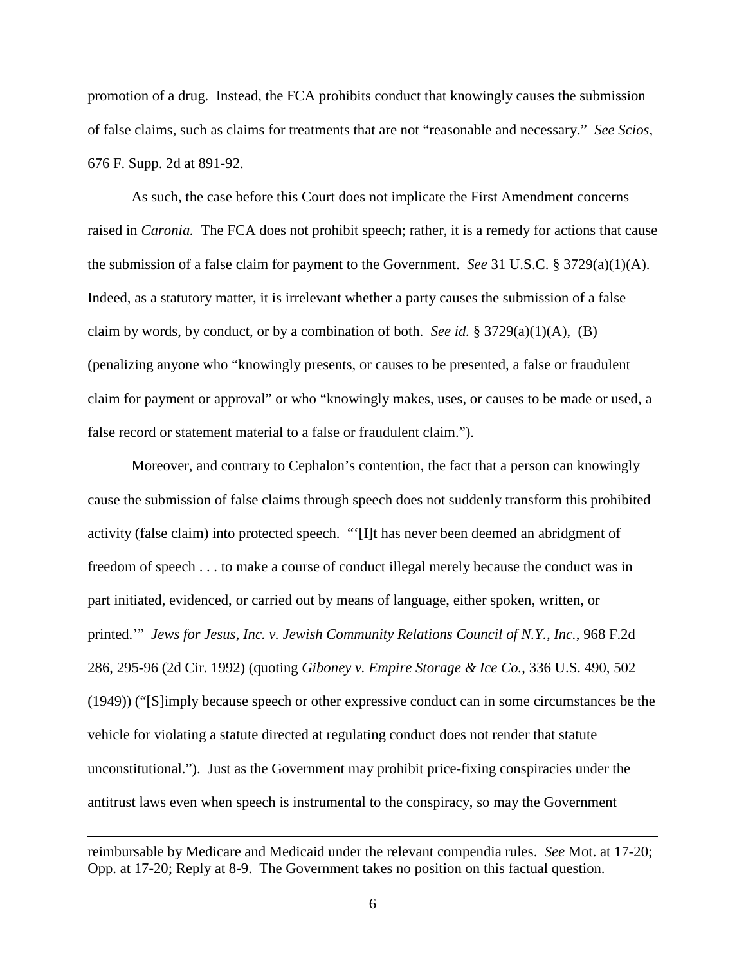promotion of a drug. Instead, the FCA prohibits conduct that knowingly causes the submission of false claims, such as claims for treatments that are not "reasonable and necessary." *See Scios*, 676 F. Supp. 2d at 891-92.

As such, the case before this Court does not implicate the First Amendment concerns raised in *Caronia.* The FCA does not prohibit speech; rather, it is a remedy for actions that cause the submission of a false claim for payment to the Government. *See* 31 U.S.C. § 3729(a)(1)(A). Indeed, as a statutory matter, it is irrelevant whether a party causes the submission of a false claim by words, by conduct, or by a combination of both. *See id.* § 3729(a)(1)(A), (B) (penalizing anyone who "knowingly presents, or causes to be presented, a false or fraudulent claim for payment or approval" or who "knowingly makes, uses, or causes to be made or used, a false record or statement material to a false or fraudulent claim.").

Moreover, and contrary to Cephalon's contention, the fact that a person can knowingly cause the submission of false claims through speech does not suddenly transform this prohibited activity (false claim) into protected speech. "'[I]t has never been deemed an abridgment of freedom of speech . . . to make a course of conduct illegal merely because the conduct was in part initiated, evidenced, or carried out by means of language, either spoken, written, or printed.'" *Jews for Jesus, Inc. v. Jewish Community Relations Council of N.Y., Inc.*, 968 F.2d 286, 295-96 (2d Cir. 1992) (quoting *Giboney v. Empire Storage & Ice Co.*, 336 U.S. 490, 502 (1949)) ("[S]imply because speech or other expressive conduct can in some circumstances be the vehicle for violating a statute directed at regulating conduct does not render that statute unconstitutional."). Just as the Government may prohibit price-fixing conspiracies under the antitrust laws even when speech is instrumental to the conspiracy, so may the Government

 $\overline{a}$ 

reimbursable by Medicare and Medicaid under the relevant compendia rules. *See* Mot. at 17-20; Opp. at 17-20; Reply at 8-9. The Government takes no position on this factual question.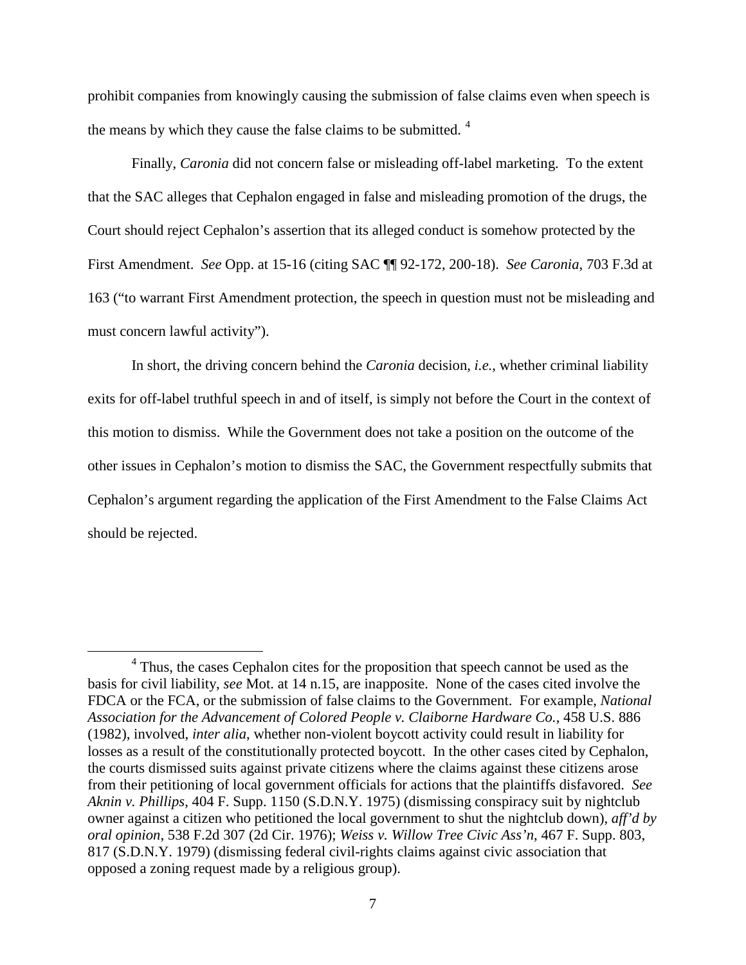prohibit companies from knowingly causing the submission of false claims even when speech is the means by which they cause the false claims to be submitted.<sup>[4](#page-7-0)</sup>

Finally, *Caronia* did not concern false or misleading off-label marketing. To the extent that the SAC alleges that Cephalon engaged in false and misleading promotion of the drugs, the Court should reject Cephalon's assertion that its alleged conduct is somehow protected by the First Amendment. *See* Opp. at 15-16 (citing SAC ¶¶ 92-172, 200-18). *See Caronia*, 703 F.3d at 163 ("to warrant First Amendment protection, the speech in question must not be misleading and must concern lawful activity").

In short, the driving concern behind the *Caronia* decision, *i.e.*, whether criminal liability exits for off-label truthful speech in and of itself, is simply not before the Court in the context of this motion to dismiss. While the Government does not take a position on the outcome of the other issues in Cephalon's motion to dismiss the SAC, the Government respectfully submits that Cephalon's argument regarding the application of the First Amendment to the False Claims Act should be rejected.

<span id="page-7-0"></span><sup>&</sup>lt;sup>4</sup> Thus, the cases Cephalon cites for the proposition that speech cannot be used as the basis for civil liability, *see* Mot. at 14 n.15, are inapposite. None of the cases cited involve the FDCA or the FCA, or the submission of false claims to the Government. For example, *National Association for the Advancement of Colored People v. Claiborne Hardware Co.*, 458 U.S. 886 (1982), involved, *inter alia*, whether non-violent boycott activity could result in liability for losses as a result of the constitutionally protected boycott. In the other cases cited by Cephalon, the courts dismissed suits against private citizens where the claims against these citizens arose from their petitioning of local government officials for actions that the plaintiffs disfavored. *See Aknin v. Phillips*, 404 F. Supp. 1150 (S.D.N.Y. 1975) (dismissing conspiracy suit by nightclub owner against a citizen who petitioned the local government to shut the nightclub down), *aff'd by oral opinion*, 538 F.2d 307 (2d Cir. 1976); *Weiss v. Willow Tree Civic Ass'n*, 467 F. Supp. 803, 817 (S.D.N.Y. 1979) (dismissing federal civil-rights claims against civic association that opposed a zoning request made by a religious group).